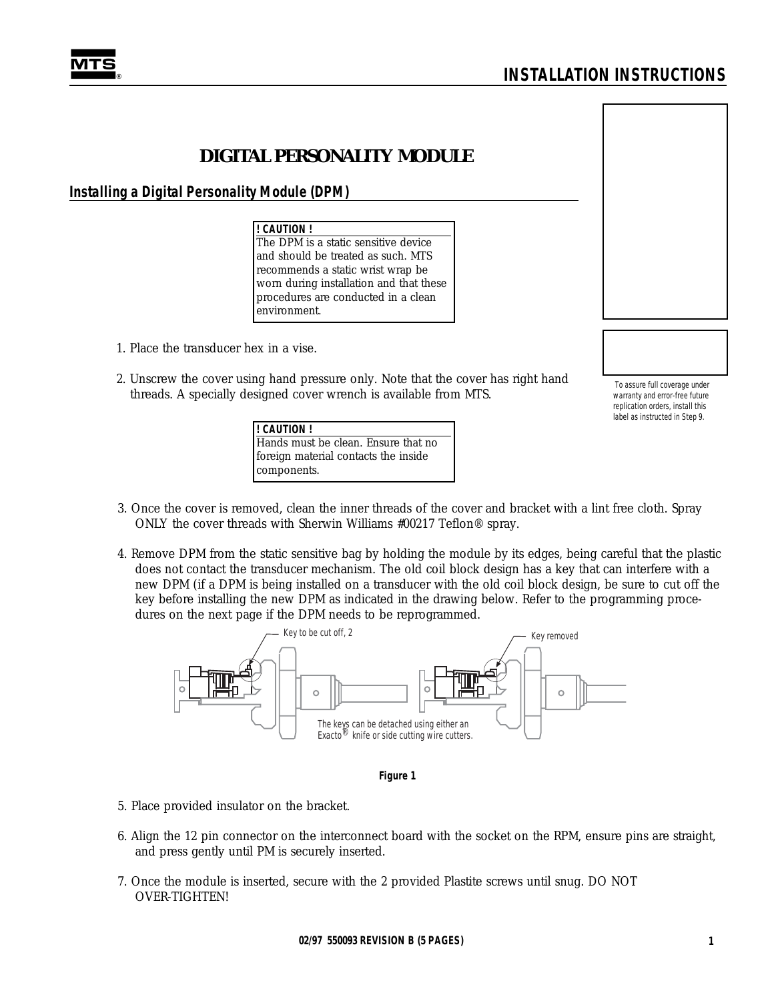# **DIGITAL PERSONALITY MODULE**

# **Installing a Digital Personality Module (DPM)**

**! CAUTION !** The DPM is a static sensitive device and should be treated as such. MTS recommends a static wrist wrap be worn during installation and that these procedures are conducted in a clean environment.

- 1. Place the transducer hex in a vise.
- 2. Unscrew the cover using hand pressure only. Note that the cover has right hand threads. A specially designed cover wrench is available from MTS.

*To assure full coverage under warranty and error-free future replication orders, install this label as instructed in Step 9.*

- 3. Once the cover is removed, clean the inner threads of the cover and bracket with a lint free cloth. Spray ONLY the cover threads with Sherwin Williams #00217 Teflon® spray.
- 4. Remove DPM from the static sensitive bag by holding the module by its edges, being careful that the plastic does not contact the transducer mechanism. The old coil block design has a key that can interfere with a new DPM (if a DPM is being installed on a transducer with the old coil block design, be sure to cut off the key before installing the new DPM as indicated in the drawing below. Refer to the programming procedures on the next page if the DPM needs to be reprogrammed.





- 5. Place provided insulator on the bracket.
- 6. Align the 12 pin connector on the interconnect board with the socket on the RPM, ensure pins are straight, and press gently until PM is securely inserted.
- 7. Once the module is inserted, secure with the 2 provided Plastite screws until snug. DO NOT OVER-TIGHTEN!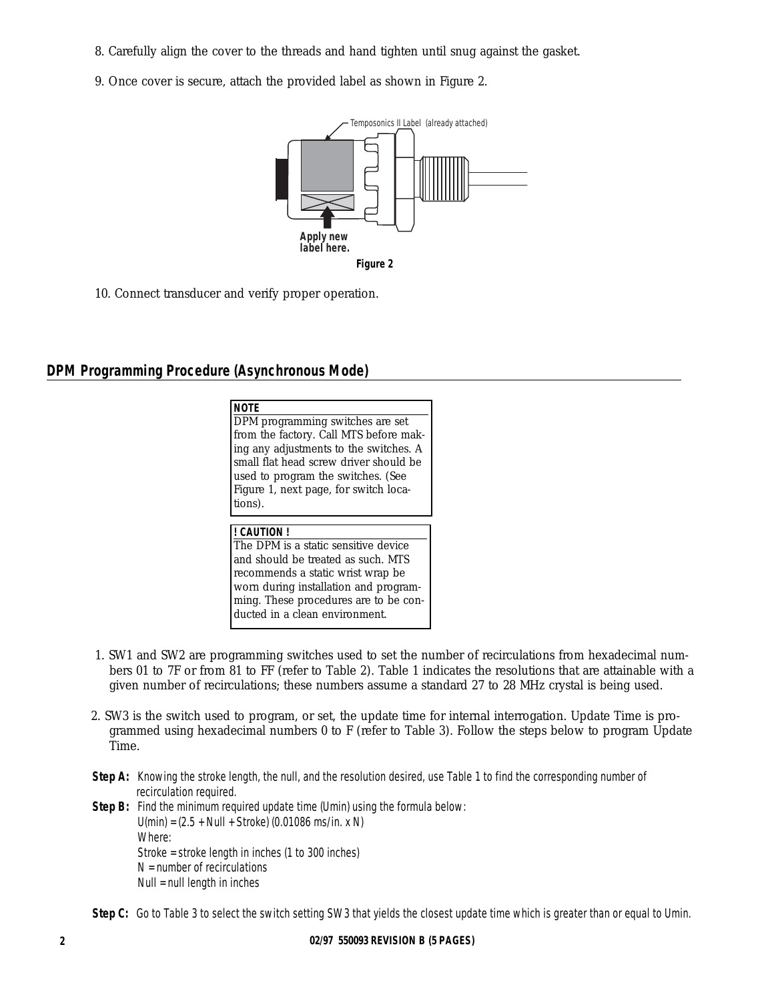- 8. Carefully align the cover to the threads and hand tighten until snug against the gasket.
- 9. Once cover is secure, attach the provided label as shown in Figure 2.



10. Connect transducer and verify proper operation.

# **DPM Programming Procedure (Asynchronous Mode)**

| <b>NOTE</b>                            |
|----------------------------------------|
| DPM programming switches are set       |
| from the factory. Call MTS before mak- |
| ing any adjustments to the switches. A |
| small flat head screw driver should be |
| used to program the switches. (See     |
| Figure 1, next page, for switch loca-  |
| tions).                                |
|                                        |

### **! CAUTION !**

The DPM is a static sensitive device and should be treated as such. MTS recommends a static wrist wrap be worn during installation and programming. These procedures are to be conducted in a clean environment.

- 1. SW1 and SW2 are programming switches used to set the number of recirculations from hexadecimal numbers 01 to 7F or from 81 to FF (refer to Table 2). Table 1 indicates the resolutions that are attainable with a given number of recirculations; these numbers assume a standard 27 to 28 MHz crystal is being used.
- 2. SW3 is the switch used to program, or set, the update time for internal interrogation. Update Time is programmed using hexadecimal numbers 0 to F (refer to Table 3). Follow the steps below to program Update Time.
- **Step A:** Knowing the stroke length, the null, and the resolution desired, use Table 1 to find the corresponding number of recirculation required.
- **Step B:** Find the minimum required update time (Umin) using the formula below: U(min) = (2.5 + Null + Stroke) (0.01086 ms/in. x N) *Where:*  Stroke = stroke length in inches (1 to 300 inches)  $N =$  number of recirculations Null = null length in inches

**Step C:** Go to Table 3 to select the switch setting SW3 that yields the closest update time which is greater than or equal to Umin.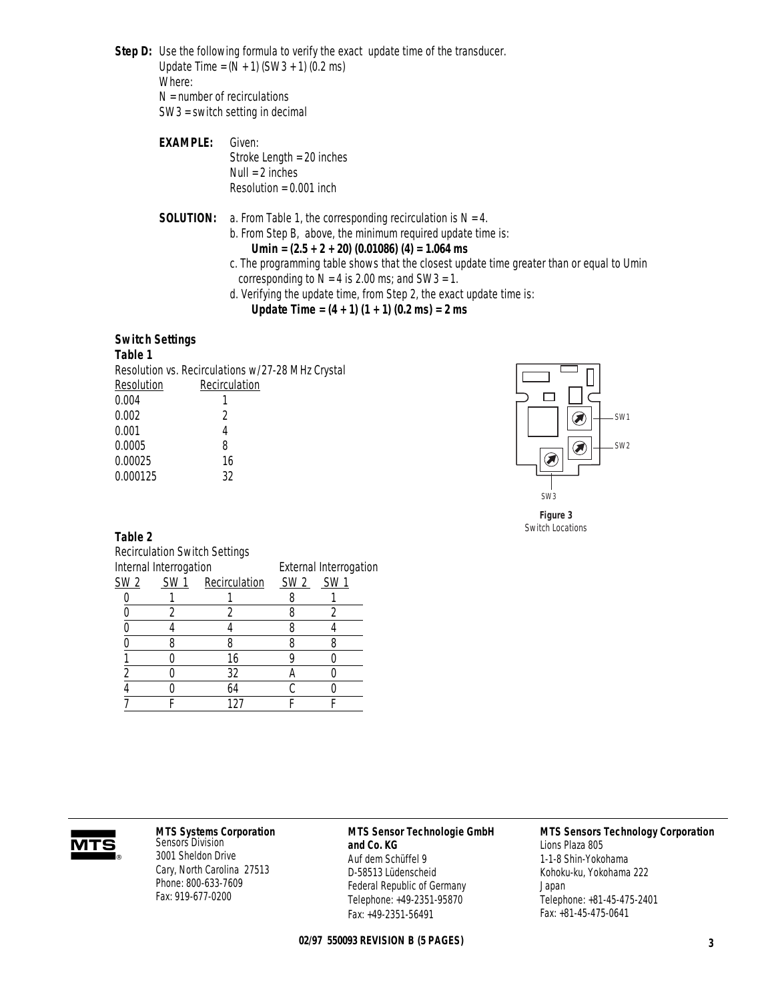**Step D:** Use the following formula to verify the exact update time of the transducer. Update Time =  $(N + 1)$  (SW3 + 1) (0.2 ms) *Where:* 

 $N =$  number of recirculations SW3 = switch setting in decimal

**EXAMPLE:** *Given:*  Stroke Length = 20 inches Null = 2 inches Resolution = 0.001 inch

**SOLUTION:** a. From Table 1, the corresponding recirculation is N = 4.

b. From Step B, above, the minimum required update time is:

### **Umin = (2.5 + 2 + 20) (0.01086) (4) = 1.064 ms**

- c. The programming table shows that the closest update time greater than or equal to Umin corresponding to  $N = 4$  is 2.00 ms; and SW3 = 1.
- d. Verifying the update time, from Step 2, the exact update time is:

**Update Time = (4 + 1) (1 + 1) (0.2 ms) = 2 ms**

#### **Switch Settings**

#### **Table 1**

Resolution vs. Recirculations w/27-28 MHz Crystal

| Resolution | Recirculation |
|------------|---------------|
| 0.004      |               |
| 0.002      | 2             |
| 0.001      | 4             |
| 0.0005     | ጸ             |
| 0.00025    | 16            |
| 0.000125   | 32            |
|            |               |



*Figure 3 Switch Locations*

**Table 2** 

|                 |                        | <b>Recirculation Switch Settings</b> |      |      |  |  |  |  |  |
|-----------------|------------------------|--------------------------------------|------|------|--|--|--|--|--|
|                 | Internal Interrogation | External Interrogation               |      |      |  |  |  |  |  |
| SW <sub>2</sub> | SW <sub>1</sub>        | Recirculation                        | SW 2 | SW 1 |  |  |  |  |  |
|                 |                        |                                      |      |      |  |  |  |  |  |
|                 |                        |                                      |      |      |  |  |  |  |  |
|                 |                        |                                      |      |      |  |  |  |  |  |
|                 |                        |                                      |      |      |  |  |  |  |  |
|                 |                        | 16                                   |      |      |  |  |  |  |  |
|                 |                        | 32                                   |      |      |  |  |  |  |  |
|                 |                        | 64                                   |      |      |  |  |  |  |  |
|                 |                        |                                      |      |      |  |  |  |  |  |



#### **MTS Systems Corporation** Sensors Division

3001 Sheldon Drive Cary, North Carolina 27513 Phone: 800-633-7609 Fax: 919-677-0200

# **MTS Sensor Technologie GmbH**

**and Co. KG** Auf dem Schüffel 9 D-58513 Lüdenscheid Federal Republic of Germany Telephone: +49-2351-95870 Fax: +49-2351-56491

## **02/97 550093 REVISION B (5 PAGES) 3**

#### **MTS Sensors Technology Corporation**

Lions Plaza 805 1-1-8 Shin-Yokohama Kohoku-ku, Yokohama 222 Japan Telephone: +81-45-475-2401 Fax: +81-45-475-0641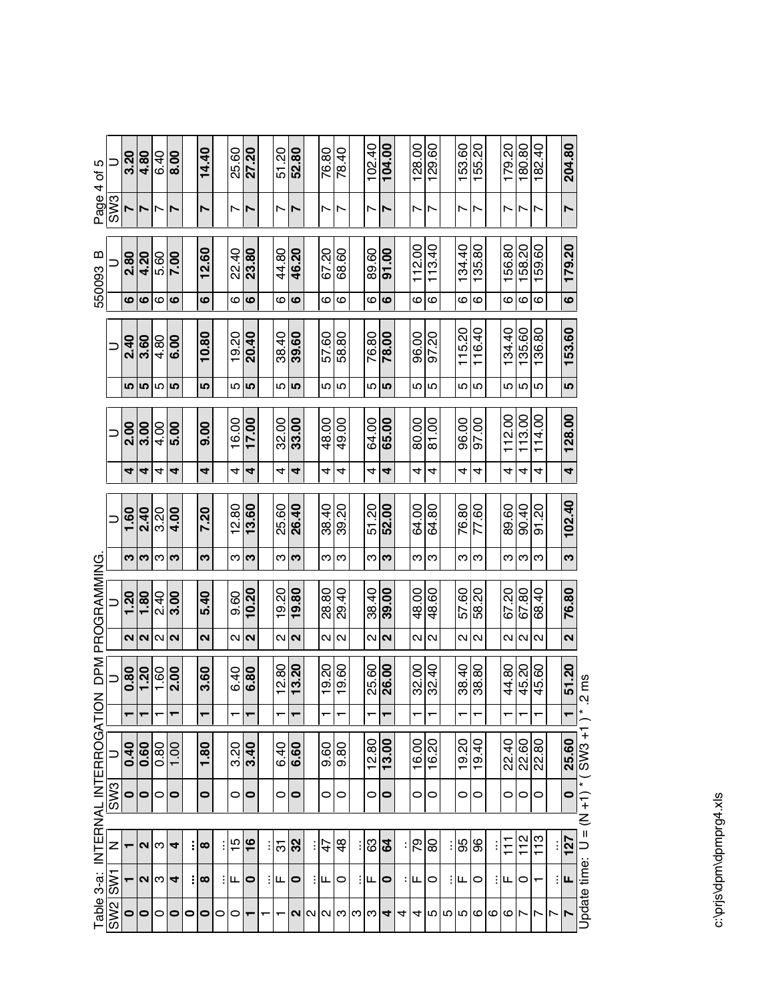|                                  |                 | 3.20      | 4.80              | 6.40            | 8.00    |           | 14.40             |   | 25.60          | 27.20                    | 51.20 | 52.80             |                | 76.80 | 78.40             | 102.40                   | 104.00            |   |                   | $\frac{128.00}{129.60}$ |   | 153.60                   | 155.20         |   | 179.20                   | 180.80                   | 182.40 |                         | 204.80            |                                        |
|----------------------------------|-----------------|-----------|-------------------|-----------------|---------|-----------|-------------------|---|----------------|--------------------------|-------|-------------------|----------------|-------|-------------------|--------------------------|-------------------|---|-------------------|-------------------------|---|--------------------------|----------------|---|--------------------------|--------------------------|--------|-------------------------|-------------------|----------------------------------------|
| Page 4 of 5                      | SW <sub>3</sub> |           |                   |                 | N       |           | $\overline{ }$    |   | Ņ              | $\overline{\phantom{a}}$ | ↖     | N                 |                | Ľ     | N                 | $\overline{\phantom{0}}$ | Ľ                 |   | Ľ                 | $\overline{ }$          |   | $\overline{\phantom{0}}$ | $\overline{ }$ |   | $\overline{\phantom{0}}$ | $\overline{\phantom{a}}$ | N      |                         | N                 |                                        |
| $\omega$<br>550093               |                 | 2.80      | 4.20              | 5.60            | 7.00    |           | 12.60             |   | 22.40          | 23.80                    | 44.80 | 46.20             |                | 67.20 | 68.60             | 89.60                    | 91.00             |   | 112.00            | 113.40                  |   | 134.40                   | 135.80         |   | 156.80                   | 158.20                   | 159.60 |                         | 179.20            |                                        |
|                                  |                 | ဖ         | ဖ                 | ဖ               | ဖ       |           | ဖ                 |   | ဖ              | ဖ                        | ဖ     | ဖ                 |                | ဖ     | ဖ                 | ဖ                        | ဖ                 |   | ဖ                 | ဖ                       |   | ဖ                        | ဖ              |   | ဖ                        | ဖ                        | ဖ      |                         | $\bullet$         |                                        |
|                                  | Ξ               | 2.40      | 3.60              | 4.80            | 6.00    |           | 10.80             |   | 19.20          | 20.40                    | 38.40 | 39.60             |                | 57.60 | 58.80             | 76.80                    | 78.00             |   | 96.00             | 07.70                   |   | 115.20                   | 116.40         |   | 134.40                   | 135.60                   | 136.80 |                         | 153.60            |                                        |
|                                  |                 | 5         | 5                 | 5               | LO      |           | 5                 |   | 5              | LO                       | 5     | 5                 |                | 5     | 5                 | 5                        | 5                 |   | ا ما              | Ю                       |   | 5                        | 5              |   | 5                        | 5                        | 5      |                         | LO                |                                        |
|                                  | Ξ               | 2.00      | 3.00              | 4.00            | 5.00    |           | 0.00              |   | 16.00          | 17.00                    | 32.00 | 33.00             |                | 48.00 | 49.00             | $rac{64.00}{65.00}$      |                   |   | 80.00             | 81.00                   |   | 96.00                    | 97.00          |   | 112.00                   | 113.00                   | 114.00 |                         | 128.00            |                                        |
|                                  |                 | 4         | 4                 | 4               | 4       |           | 4                 |   | 4              | 4                        | 4     | 4                 |                | 4     | 4                 | 4                        | 4                 |   | 4                 | 4                       |   | 4                        | 4              |   | 4                        | 4                        | 4      |                         | 4                 |                                        |
|                                  |                 | 1.60      | 2.40              | 3.20            | 4.00    |           | 7.20              |   | 12.80          | 13.60                    | 25.60 | 26.40             |                | 38.40 | 39.20             | 51.20                    | 52.00             |   | 64.00             | 64.80                   |   | 76.80                    | 77.60          |   | 89.60                    | 90.40                    | 01.20  |                         | 102.40            |                                        |
|                                  |                 | က         | က                 | က               | က       |           | က                 |   | ო              | က                        | ω     | က                 |                |       | ო∣ო               | ო                        | က                 |   |                   | ო∣ო                     |   | ო                        | ო              |   | ო                        | က                        | ო      |                         | က                 |                                        |
| DPM PROGRAMMING                  |                 | 1.20      | 1.80              | 2.40            | 3.00    |           | 5.40              |   | 9.60           | 10.20                    | 19.20 | 19.80             |                | 28.80 | 29.40             | 38.40                    | 39.00             |   | 48.00             | 48.60                   |   | 57.60                    | 58.20          |   | 67.20                    | 67.80                    | 68.40  |                         | 76.80             |                                        |
|                                  |                 | $\sim$    | $\mathbf{\Omega}$ | $\sim$          | $\sim$  |           | $\mathbf{\Omega}$ |   | N              | $\sim$                   | Z     | $\mathbf{\Omega}$ |                | N     | $\mathbf{\Omega}$ | $\mathbf{\Omega}$        | $\mathbf{\Omega}$ |   | $\mathbf{\Omega}$ | Ν                       |   | $\mathbf{\Omega}$        | $\sim$         |   | N                        | $\mathbf{\Omega}$        | $\sim$ |                         | $\mathbf{\Omega}$ |                                        |
| $\geq$                           | $\equiv$        | 0.80      | 1.20              | 1.60            | 2.00    |           | 3.60              |   | 6.40           | 6.80                     | 12.80 | 13.20             |                | 19.20 | 19.60             | 25.60                    | 26.00             |   | 32.00             | 32.40                   |   | 38.40                    | 38.80          |   | 44.80                    | 45.20                    | 45.60  |                         | 51.20             | $2 \, \text{ms}$                       |
|                                  |                 |           |                   | $\mathbf{\tau}$ | ┯       |           | ┯                 |   | ↽              |                          |       | ┯                 |                | ↽     | ↽                 |                          | ┯                 |   | ↽                 | ᠇                       |   | ↽                        | ┯              |   | ↽                        | ┯                        | ↽      |                         |                   | $\overline{\phantom{a}}$               |
| Table 3-a: INTERNAL INTERROGATIC |                 | 0.40      | 0.60              | 0.80            | 1.00    |           | 1.80              |   | 3.20           | 3.40                     | 6.40  | 6.60              |                | 9.60  | 9.80              | 12.80                    | 13.00             |   | 16.00             | 16.20                   |   | 19.20                    | 19.40          |   | 22.40                    | 22.60                    | 22.80  |                         | 25.60             | Update time: $U = (N + 1) * (SW3 + 1)$ |
|                                  | SW <sub>3</sub> | $\bullet$ | $\circ$           | $\circ$         | $\circ$ |           | 0                 |   | 0              | $\circ$                  | 0     | $\bullet$         |                | 0     | 0                 | 0                        | 0                 |   | 0                 | 0                       |   | 0                        | 0              |   | 0                        | 0                        | 0      |                         | $\bullet$         |                                        |
|                                  |                 |           |                   |                 |         |           |                   |   |                |                          |       |                   |                |       |                   |                          |                   |   |                   |                         |   |                          |                |   |                          |                          |        |                         |                   |                                        |
|                                  | Z               |           | $\mathbf{\Omega}$ | က               | 4       |           | $\infty$          |   | $\frac{15}{2}$ | $\frac{6}{1}$            | 5     | 32                |                | 47    | $\frac{4}{3}$     | 83                       | $\mathbf{g}$      |   | 79                | 80                      |   | 95                       | 96             |   | $\frac{1}{1}$            | 112                      | 113    |                         | 127               |                                        |
|                                  | <b>ISW1</b>     |           | $\sim$            | က               | 4       |           | $\infty$          |   | ட              | 0                        | Щ     | 0                 |                | щ     | 0                 | щ                        | 0                 |   | : щ               | 0                       | ÷ | Щ                        | 0              |   | щ                        | 0                        | ┯      |                         | Щ                 |                                        |
|                                  | SW <sub>2</sub> | $\bullet$ | $\bullet$         | 0               | $\circ$ | $\bullet$ | $\bullet$         | 0 | 0              | ┯                        | ᠇     |                   | N <sub>N</sub> |       | ៧ೞ                | က∣က                      | 4                 | 4 | 4                 | 5                       |   | n p                      | ဖ              | ဖ | ဖ                        | ⊢                        | L      | $\mathop{~\smallfrown}$ | N                 |                                        |

c:\prjs\dpm\dpmprg4.xls c:\prjs\dpm\dpmprg4.xls